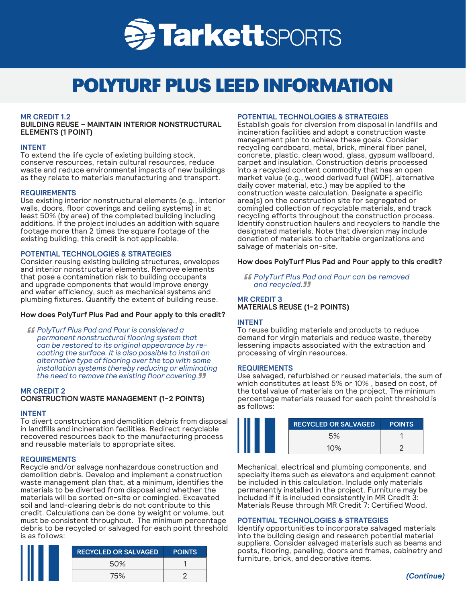

# POLYTURF PLUS LEED INFORMATION

# **MR CREDIT 1.2**

**BUILDING REUSE – MAINTAIN INTERIOR NONSTRUCTURAL ELEMENTS (1 POINT)**

## **INTENT**

To extend the life cycle of existing building stock, conserve resources, retain cultural resources, reduce waste and reduce environmental impacts of new buildings as they relate to materials manufacturing and transport.

# **REQUIREMENTS**

Use existing interior nonstructural elements (e.g., interior walls, doors, floor coverings and ceiling systems) in at least 50% (by area) of the completed building including additions. If the project includes an addition with square footage more than 2 times the square footage of the existing building, this credit is not applicable.

# **POTENTIAL TECHNOLOGIES & STRATEGIES**

Consider reusing existing building structures, envelopes and interior nonstructural elements. Remove elements that pose a contamination risk to building occupants and upgrade components that would improve energy and water efficiency, such as mechanical systems and plumbing fixtures. Quantify the extent of building reuse.

# **How does PolyTurf Plus Pad and Pour apply to this credit?**

*PolyTurf Plus Pad and Pour is considered a permanent nonstructural flooring system that can be restored to its original appearance by recoating the surface. It is also possible to install an alternative type of flooring over the top with some installation systems thereby reducing or eliminating the need to remove the existing floor covering.*

# **MR CREDIT 2**

# **CONSTRUCTION WASTE MANAGEMENT (1-2 POINTS)**

#### **INTENT**

To divert construction and demolition debris from disposal in landfills and incineration facilities. Redirect recyclable recovered resources back to the manufacturing process and reusable materials to appropriate sites.

#### **REQUIREMENTS**

Recycle and/or salvage nonhazardous construction and demolition debris. Develop and implement a construction waste management plan that, at a minimum, identifies the materials to be diverted from disposal and whether the materials will be sorted on-site or comingled. Excavated soil and land-clearing debris do not contribute to this credit. Calculations can be done by weight or volume, but must be consistent throughout. The minimum percentage debris to be recycled or salvaged for each point threshold is as follows:

| <b>RECYCLED OR SALVAGED</b> | <b>POINTS</b> |
|-----------------------------|---------------|
| 50%                         |               |
| 75%                         |               |

## **POTENTIAL TECHNOLOGIES & STRATEGIES**

Establish goals for diversion from disposal in landfills and incineration facilities and adopt a construction waste management plan to achieve these goals. Consider recycling cardboard, metal, brick, mineral fiber panel, concrete, plastic, clean wood, glass, gypsum wallboard, carpet and insulation. Construction debris processed into a recycled content commodity that has an open market value (e.g., wood derived fuel (WDF), alternative daily cover material, etc.) may be applied to the construction waste calculation. Designate a specific area(s) on the construction site for segregated or comingled collection of recyclable materials, and track recycling efforts throughout the construction process. Identify construction haulers and recyclers to handle the designated materials. Note that diversion may include donation of materials to charitable organizations and salvage of materials on-site.

## **How does PolyTurf Plus Pad and Pour apply to this credit?**

*PolyTurf Plus Pad and Pour can be removed and recycled.*

# **MR CREDIT 3 MATERIALS REUSE (1-2 POINTS)**

# **INTENT**

To reuse building materials and products to reduce demand for virgin materials and reduce waste, thereby lessening impacts associated with the extraction and processing of virgin resources.

#### **REQUIREMENTS**

Use salvaged, refurbished or reused materials, the sum of which constitutes at least 5% or 10% , based on cost, of the total value of materials on the project. The minimum percentage materials reused for each point threshold is as follows:

| <b>RECYCLED OR SALVAGED</b> | <b>POINTS</b> |
|-----------------------------|---------------|
| 5%                          |               |
| 10%                         |               |

Mechanical, electrical and plumbing components, and specialty items such as elevators and equipment cannot be included in this calculation. Include only materials permanently installed in the project. Furniture may be included if it is included consistently in MR Credit 3: Materials Reuse through MR Credit 7: Certified Wood.

#### **POTENTIAL TECHNOLOGIES & STRATEGIES**

Identify opportunities to incorporate salvaged materials into the building design and research potential material suppliers. Consider salvaged materials such as beams and posts, flooring, paneling, doors and frames, cabinetry and furniture, brick, and decorative items.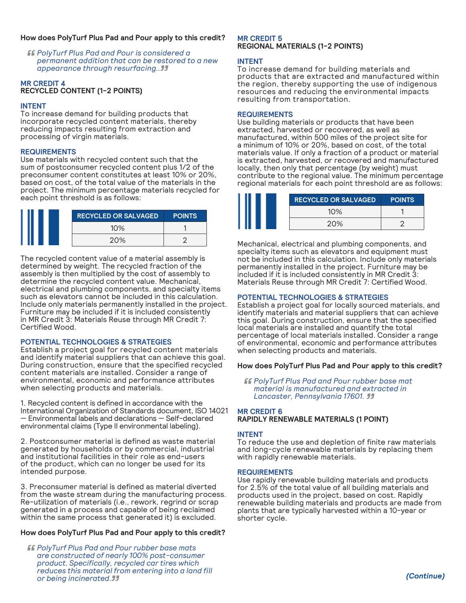# **How does PolyTurf Plus Pad and Pour apply to this credit?**

*PolyTurf Plus Pad and Pour is considered a permanent addition that can be restored to a new appearance through resurfacing..*

## **MR CREDIT 4 RECYCLED CONTENT (1-2 POINTS)**

# **INTENT**

To increase demand for building products that incorporate recycled content materials, thereby reducing impacts resulting from extraction and processing of virgin materials.

# **REQUIREMENTS**

Use materials with recycled content such that the sum of postconsumer recycled content plus 1/2 of the preconsumer content constitutes at least 10% or 20%, based on cost, of the total value of the materials in the project. The minimum percentage materials recycled for each point threshold is as follows:

| <b>RECYCLED OR SALVAGED</b> | <b>POINTS</b> |
|-----------------------------|---------------|
| 10%                         |               |
| 20%                         |               |

The recycled content value of a material assembly is determined by weight. The recycled fraction of the assembly is then multiplied by the cost of assembly to determine the recycled content value. Mechanical, electrical and plumbing components, and specialty items such as elevators cannot be included in this calculation. Include only materials permanently installed in the project. Furniture may be included if it is included consistently in MR Credit 3: Materials Reuse through MR Credit 7: Certified Wood.

# **POTENTIAL TECHNOLOGIES & STRATEGIES**

Establish a project goal for recycled content materials and identify material suppliers that can achieve this goal. During construction, ensure that the specified recycled content materials are installed. Consider a range of environmental, economic and performance attributes when selecting products and materials.

1. Recycled content is defined in accordance with the International Organization of Standards document, ISO 14021 — Environmental labels and declarations — Self-declared environmental claims (Type II environmental labeling).

2. Postconsumer material is defined as waste material generated by households or by commercial, industrial and institutional facilities in their role as end-users of the product, which can no longer be used for its intended purpose.

3. Preconsumer material is defined as material diverted from the waste stream during the manufacturing process. Re-utilization of materials (i.e., rework, regrind or scrap generated in a process and capable of being reclaimed within the same process that generated it) is excluded.

# **How does PolyTurf Plus Pad and Pour apply to this credit?**

*PolyTurf Plus Pad and Pour rubber base mats are constructed of nearly 100% post-consumer product. Specifically, recycled car tires which reduces this material from entering into a land fill or being incinerated.*

# **MR CREDIT 5 REGIONAL MATERIALS (1-2 POINTS)**

# **INTENT**

To increase demand for building materials and products that are extracted and manufactured within the region, thereby supporting the use of indigenous resources and reducing the environmental impacts resulting from transportation.

# **REQUIREMENTS**

Use building materials or products that have been extracted, harvested or recovered, as well as manufactured, within 500 miles of the project site for a minimum of 10% or 20%, based on cost, of the total materials value. If only a fraction of a product or material is extracted, harvested, or recovered and manufactured locally, then only that percentage (by weight) must contribute to the regional value. The minimum percentage regional materials for each point threshold are as follows:

| <b>RECYCLED OR SALVAGED</b> | <b>POINTS</b> |
|-----------------------------|---------------|
| 10%                         |               |
| 20%                         | ╭             |

Mechanical, electrical and plumbing components, and specialty items such as elevators and equipment must not be included in this calculation. Include only materials permanently installed in the project. Furniture may be included if it is included consistently in MR Credit 3: Materials Reuse through MR Credit 7: Certified Wood.

# **POTENTIAL TECHNOLOGIES & STRATEGIES**

Establish a project goal for locally sourced materials, and identify materials and material suppliers that can achieve this goal. During construction, ensure that the specified local materials are installed and quantify the total percentage of local materials installed. Consider a range of environmental, economic and performance attributes when selecting products and materials.

# **How does PolyTurf Plus Pad and Pour apply to this credit?**

*PolyTurf Plus Pad and Pour rubber base mat material is manufactured and extracted in Lancaster, Pennsylvania 17601.* 

# **MR CREDIT 6**

**RAPIDLY RENEWABLE MATERIALS (1 POINT)**

# **INTENT**

To reduce the use and depletion of finite raw materials and long-cycle renewable materials by replacing them with rapidly renewable materials.

# **REQUIREMENTS**

Use rapidly renewable building materials and products for 2.5% of the total value of all building materials and products used in the project, based on cost. Rapidly renewable building materials and products are made from plants that are typically harvested within a 10-year or shorter cycle.